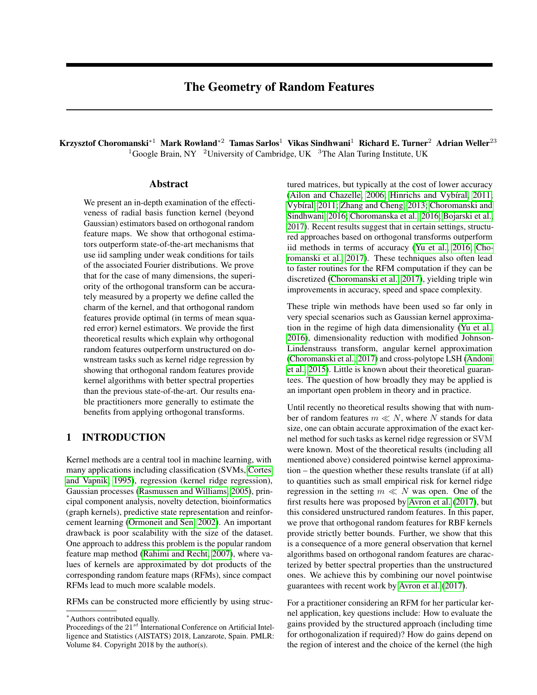# The Geometry of Random Features

Krzysztof Choromanski<sup>∗1</sup> Mark Rowland<sup>∗2</sup> Tamas Sarlos<sup>1</sup> Vikas Sindhwani<sup>1</sup> Richard E. Turner<sup>2</sup> Adrian Weller<sup>23</sup> <sup>1</sup>Google Brain, NY <sup>2</sup>University of Cambridge, UK <sup>3</sup>The Alan Turing Institute, UK

### Abstract

We present an in-depth examination of the effectiveness of radial basis function kernel (beyond Gaussian) estimators based on orthogonal random feature maps. We show that orthogonal estimators outperform state-of-the-art mechanisms that use iid sampling under weak conditions for tails of the associated Fourier distributions. We prove that for the case of many dimensions, the superiority of the orthogonal transform can be accurately measured by a property we define called the charm of the kernel, and that orthogonal random features provide optimal (in terms of mean squared error) kernel estimators. We provide the first theoretical results which explain why orthogonal random features outperform unstructured on downstream tasks such as kernel ridge regression by showing that orthogonal random features provide kernel algorithms with better spectral properties than the previous state-of-the-art. Our results enable practitioners more generally to estimate the benefits from applying orthogonal transforms.

# 1 INTRODUCTION

Kernel methods are a central tool in machine learning, with many applications including classification (SVMs, [Cortes](#page-8-0) [and Vapnik, 1995\)](#page-8-0), regression (kernel ridge regression), Gaussian processes [\(Rasmussen and Williams, 2005\)](#page-8-1), principal component analysis, novelty detection, bioinformatics (graph kernels), predictive state representation and reinforcement learning [\(Ormoneit and Sen, 2002\)](#page-8-2). An important drawback is poor scalability with the size of the dataset. One approach to address this problem is the popular random feature map method [\(Rahimi and Recht, 2007\)](#page-8-3), where values of kernels are approximated by dot products of the corresponding random feature maps (RFMs), since compact RFMs lead to much more scalable models.

RFMs can be constructed more efficiently by using struc-

tured matrices, but typically at the cost of lower accuracy [\(Ailon and Chazelle, 2006;](#page-8-4) [Hinrichs and Vybíral, 2011;](#page-8-5) [Vybíral, 2011;](#page-8-6) [Zhang and Cheng, 2013;](#page-8-7) [Choromanski and](#page-8-8) [Sindhwani, 2016;](#page-8-8) [Choromanska et al., 2016;](#page-8-9) [Bojarski et al.,](#page-8-10) [2017\)](#page-8-10). Recent results suggest that in certain settings, structured approaches based on orthogonal transforms outperform iid methods in terms of accuracy [\(Yu et al., 2016;](#page-8-11) [Cho](#page-8-12)[romanski et al., 2017\)](#page-8-12). These techniques also often lead to faster routines for the RFM computation if they can be discretized [\(Choromanski et al., 2017\)](#page-8-12), yielding triple win improvements in accuracy, speed and space complexity.

These triple win methods have been used so far only in very special scenarios such as Gaussian kernel approximation in the regime of high data dimensionality [\(Yu et al.,](#page-8-11) [2016\)](#page-8-11), dimensionality reduction with modified Johnson-Lindenstrauss transform, angular kernel approximation [\(Choromanski et al., 2017\)](#page-8-12) and cross-polytope LSH [\(Andoni](#page-8-13) [et al., 2015\)](#page-8-13). Little is known about their theoretical guarantees. The question of how broadly they may be applied is an important open problem in theory and in practice.

Until recently no theoretical results showing that with number of random features  $m \ll N$ , where N stands for data size, one can obtain accurate approximation of the exact kernel method for such tasks as kernel ridge regression or SVM were known. Most of the theoretical results (including all mentioned above) considered pointwise kernel approximation – the question whether these results translate (if at all) to quantities such as small empirical risk for kernel ridge regression in the setting  $m \ll N$  was open. One of the first results here was proposed by [Avron et al.](#page-8-14) [\(2017\)](#page-8-14), but this considered unstructured random features. In this paper, we prove that orthogonal random features for RBF kernels provide strictly better bounds. Further, we show that this is a consequence of a more general observation that kernel algorithms based on orthogonal random features are characterized by better spectral properties than the unstructured ones. We achieve this by combining our novel pointwise guarantees with recent work by [Avron et al.](#page-8-14) [\(2017\)](#page-8-14).

For a practitioner considering an RFM for her particular kernel application, key questions include: How to evaluate the gains provided by the structured approach (including time for orthogonalization if required)? How do gains depend on the region of interest and the choice of the kernel (the high

<sup>∗</sup>Authors contributed equally.

Proceedings of the  $21^{st}$  International Conference on Artificial Intelligence and Statistics (AISTATS) 2018, Lanzarote, Spain. PMLR: Volume 84. Copyright 2018 by the author(s).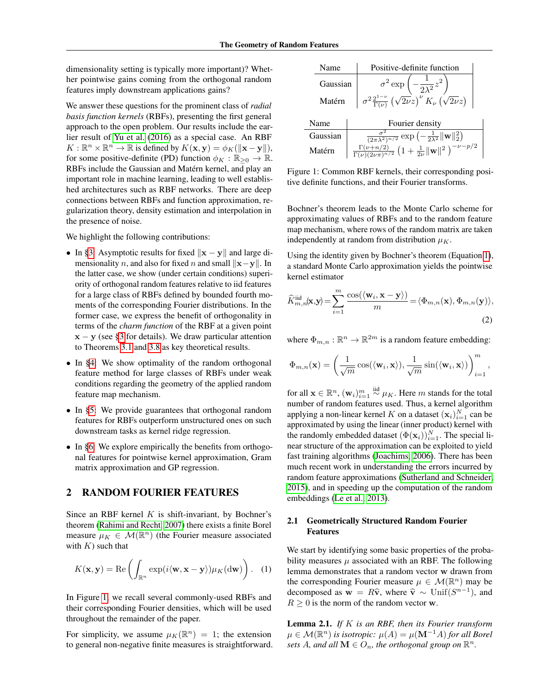dimensionality setting is typically more important)? Whether pointwise gains coming from the orthogonal random features imply downstream applications gains?

We answer these questions for the prominent class of *radial basis function kernels* (RBFs), presenting the first general approach to the open problem. Our results include the earlier result of [Yu et al.](#page-8-11) [\(2016\)](#page-8-11) as a special case. An RBF  $K: \mathbb{R}^n \times \mathbb{R}^n \to \mathbb{R}$  is defined by  $K(\mathbf{x}, \mathbf{y}) = \phi_K(\|\mathbf{x} - \mathbf{y}\|),$ for some positive-definite (PD) function  $\phi_K : \mathbb{R}_{\geq 0} \to \mathbb{R}$ . RBFs include the Gaussian and Matérn kernel, and play an important role in machine learning, leading to well established architectures such as RBF networks. There are deep connections between RBFs and function approximation, regularization theory, density estimation and interpolation in the presence of noise.

We highlight the following contributions:

- In [§3:](#page-2-0) Asymptotic results for fixed  $\|\mathbf{x} \mathbf{y}\|$  and large dimensionality *n*, and also for fixed *n* and small  $\|\mathbf{x}-\mathbf{y}\|$ . In the latter case, we show (under certain conditions) superiority of orthogonal random features relative to iid features for a large class of RBFs defined by bounded fourth moments of the corresponding Fourier distributions. In the former case, we express the benefit of orthogonality in terms of the *charm function* of the RBF at a given point  $x - y$  (see [§3](#page-2-0) for details). We draw particular attention to Theorems [3.1](#page-3-0) and [3.8](#page-3-1) as key theoretical results.
- In [§4:](#page-4-0) We show optimality of the random orthogonal feature method for large classes of RBFs under weak conditions regarding the geometry of the applied random feature map mechanism.
- In [§5:](#page-5-0) We provide guarantees that orthogonal random features for RBFs outperform unstructured ones on such downstream tasks as kernel ridge regression.
- In [§6:](#page-6-0) We explore empirically the benefits from orthogonal features for pointwise kernel approximation, Gram matrix approximation and GP regression.

# <span id="page-1-3"></span>2 RANDOM FOURIER FEATURES

Since an RBF kernel  $K$  is shift-invariant, by Bochner's theorem [\(Rahimi and Recht, 2007\)](#page-8-3) there exists a finite Borel measure  $\mu_K \in \mathcal{M}(\mathbb{R}^n)$  (the Fourier measure associated with  $K$ ) such that

$$
K(\mathbf{x}, \mathbf{y}) = \text{Re}\left(\int_{\mathbb{R}^n} \exp(i\langle \mathbf{w}, \mathbf{x} - \mathbf{y} \rangle) \mu_K(\mathrm{d}\mathbf{w})\right).
$$
 (1)

In Figure [1,](#page-1-0) we recall several commonly-used RBFs and their corresponding Fourier densities, which will be used throughout the remainder of the paper.

For simplicity, we assume  $\mu_K(\mathbb{R}^n) = 1$ ; the extension to general non-negative finite measures is straightforward.

| Name     | Positive-definite function                                                                                                                                                                                            |
|----------|-----------------------------------------------------------------------------------------------------------------------------------------------------------------------------------------------------------------------|
| Gaussian | $\sigma^2 \exp\left(-\frac{1}{2\lambda^2}z^2\right)$                                                                                                                                                                  |
| Matérn   | $\sigma^2 \frac{2^{1-\nu}}{\Gamma(\nu)} \left(\sqrt{2\nu}z\right)^{\nu} K_{\nu} \left(\sqrt{2\nu}z\right)$                                                                                                            |
| Name     | Fourier density                                                                                                                                                                                                       |
| Gaussian |                                                                                                                                                                                                                       |
| Matérn   | $\frac{\frac{\sigma^2}{(2\pi\lambda^2)^{n/2}}\exp\left(-\frac{1}{2\lambda^2}\ \mathbf{w}\ _2^2\right)}{\frac{\Gamma(\nu+n/2)}{\Gamma(\nu)(2\nu\pi)^{n/2}}\left(1+\frac{1}{2\nu}\ \mathbf{w}\ ^2\ \right)^{-\nu-p/2}}$ |

<span id="page-1-0"></span>Figure 1: Common RBF kernels, their corresponding positive definite functions, and their Fourier transforms.

Bochner's theorem leads to the Monte Carlo scheme for approximating values of RBFs and to the random feature map mechanism, where rows of the random matrix are taken independently at random from distribution  $\mu_K$ .

Using the identity given by Bochner's theorem (Equation [1\)](#page-1-1), a standard Monte Carlo approximation yields the pointwise kernel estimator

$$
\widehat{K}_{m,n}^{\text{iid}}(\mathbf{x}, \mathbf{y}) = \sum_{i=1}^{m} \frac{\cos(\langle \mathbf{w}_i, \mathbf{x} - \mathbf{y} \rangle)}{m} = \langle \Phi_{m,n}(\mathbf{x}), \Phi_{m,n}(\mathbf{y}) \rangle,
$$
\n(2)

where  $\Phi_{m,n} : \mathbb{R}^n \to \mathbb{R}^{2m}$  is a random feature embedding:

$$
\Phi_{m,n}(\mathbf{x}) = \left(\frac{1}{\sqrt{m}}\cos(\langle \mathbf{w}_i, \mathbf{x} \rangle), \frac{1}{\sqrt{m}}\sin(\langle \mathbf{w}_i, \mathbf{x} \rangle)\right)_{i=1}^m,
$$

for all  $\mathbf{x} \in \mathbb{R}^n$ ,  $(\mathbf{w}_i)_{i=1}^m \stackrel{\text{iid}}{\sim} \mu_K$ . Here  $m$  stands for the total number of random features used. Thus, a kernel algorithm applying a non-linear kernel K on a dataset  $(\mathbf{x}_i)_{i=1}^N$  can be approximated by using the linear (inner product) kernel with the randomly embedded dataset  $(\Phi(\mathbf{x}_i))_{i=1}^N$ . The special linear structure of the approximation can be exploited to yield fast training algorithms [\(Joachims, 2006\)](#page-8-15). There has been much recent work in understanding the errors incurred by random feature approximations [\(Sutherland and Schneider,](#page-8-16) [2015\)](#page-8-16), and in speeding up the computation of the random embeddings [\(Le et al., 2013\)](#page-8-17).

### <span id="page-1-2"></span>2.1 Geometrically Structured Random Fourier Features

<span id="page-1-1"></span>We start by identifying some basic properties of the probability measures  $\mu$  associated with an RBF. The following lemma demonstrates that a random vector w drawn from the corresponding Fourier measure  $\mu \in \mathcal{M}(\mathbb{R}^n)$  may be decomposed as  $\mathbf{w} = R\hat{\mathbf{v}}$ , where  $\hat{\mathbf{v}} \sim \text{Unif}(S^{n-1})$ , and  $R > 0$  is the norm of the random vector  $\mathbf{w}$ .  $R > 0$  is the norm of the random vector w.

Lemma 2.1. *If* K *is an RBF, then its Fourier transform*  $\mu \in \mathcal{M}(\mathbb{R}^n)$  is isotropic:  $\mu(A) = \mu(\mathbf{M}^{-1}A)$  for all Borel sets A, and all  $\mathbf{M} \in O_n$ , the orthogonal group on  $\mathbb{R}^n$ .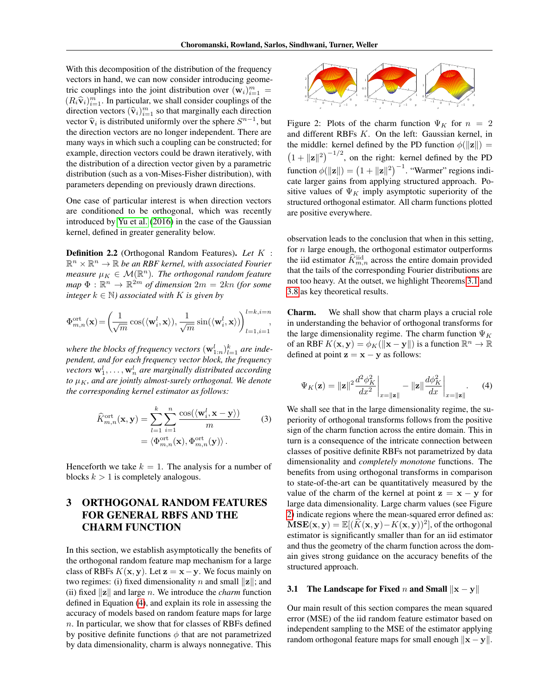With this decomposition of the distribution of the frequency vectors in hand, we can now consider introducing geometric couplings into the joint distribution over  $(\mathbf{w}_i)_{i=1}^m =$  $(R_i \hat{\mathbf{v}}_i)_{i=1}^m$ . In particular, we shall consider couplings of the direction vectors  $(\hat{\mathbf{x}}_i)^m$ , so that marginally each direction direction vectors  $(\hat{\mathbf{v}}_i)_{i=1}^m$  so that marginally each direction<br>wester  $\hat{\mathbf{v}}_i$  is distributed uniformly over the sphere  $S^{n-1}$  but vector  $\hat{\mathbf{v}}_i$  is distributed uniformly over the sphere  $S^{n-1}$ , but<br>the direction vectors are no longer independent. There are the direction vectors are no longer independent. There are many ways in which such a coupling can be constructed; for example, direction vectors could be drawn iteratively, with the distribution of a direction vector given by a parametric distribution (such as a von-Mises-Fisher distribution), with parameters depending on previously drawn directions.

One case of particular interest is when direction vectors are conditioned to be orthogonal, which was recently introduced by [Yu et al.](#page-8-11) [\(2016\)](#page-8-11) in the case of the Gaussian kernel, defined in greater generality below.

Definition 2.2 (Orthogonal Random Features). *Let* K :  $\mathbb{R}^n \times \mathbb{R}^n \to \mathbb{R}$  be an RBF kernel, with associated Fourier *measure*  $\mu_K \in \mathcal{M}(\mathbb{R}^n)$ . The orthogonal random feature  $map \Phi : \mathbb{R}^n \to \mathbb{R}^{2m}$  *of dimension*  $2m = 2kn$  *(for some*) *integer*  $k \in \mathbb{N}$ *) associated with* K *is given by* 

$$
\Phi_{m,n}^{\rm ort}({\bf x})\!=\!\left(\!\frac{1}{\sqrt{m}}\cos(\langle{\bf w}_i^l,{\bf x}\rangle),\frac{1}{\sqrt{m}}\sin(\langle{\bf w}_i^l,{\bf x}\rangle)\!\right)_{l=1,i=1}^{l=k,i=n},
$$

where the blocks of frequency vectors  $(\mathbf{w}_{1:n}^l)_{l=1}^k$  are inde*pendent, and for each frequency vector block, the frequency*  $\mathbf{v}$ ectors  $\mathbf{w}_1^l, \ldots, \mathbf{w}_n^l$  are marginally distributed according *to*  $\mu_K$ *, and are jointly almost-surely orthogonal. We denote the corresponding kernel estimator as follows:*

$$
\widehat{K}_{m,n}^{\text{ort}}(\mathbf{x}, \mathbf{y}) = \sum_{l=1}^{k} \sum_{i=1}^{n} \frac{\cos(\langle \mathbf{w}_i^{l}, \mathbf{x} - \mathbf{y} \rangle)}{m}
$$
\n
$$
= \langle \Phi_{m,n}^{\text{ort}}(\mathbf{x}), \Phi_{m,n}^{\text{ort}}(\mathbf{y}) \rangle.
$$
\n(3)

Henceforth we take  $k = 1$ . The analysis for a number of blocks  $k > 1$  is completely analogous.

# <span id="page-2-0"></span>3 ORTHOGONAL RANDOM FEATURES FOR GENERAL RBFS AND THE CHARM FUNCTION

In this section, we establish asymptotically the benefits of the orthogonal random feature map mechanism for a large class of RBFs  $K(x, y)$ . Let  $z = x - y$ . We focus mainly on two regimes: (i) fixed dimensionality n and small  $\|\mathbf{z}\|$ ; and (ii) fixed  $\Vert \mathbf{z} \Vert$  and large n. We introduce the *charm* function defined in Equation [\(4\)](#page-2-1), and explain its role in assessing the accuracy of models based on random feature maps for large n. In particular, we show that for classes of RBFs defined by positive definite functions  $\phi$  that are not parametrized by data dimensionality, charm is always nonnegative. This

<span id="page-2-2"></span>

Figure 2: Plots of the charm function  $\Psi_K$  for  $n = 2$ and different RBFs K. On the left: Gaussian kernel, in the middle: kernel defined by the PD function  $\phi(\Vert \mathbf{z} \Vert) =$  $(1 + ||\mathbf{z}||^2)^{-1/2}$ , on the right: kernel defined by the PD function  $\phi(||z||) = (1 + ||z||^2)^{-1}$ . "Warmer" regions indicate larger gains from applying structured approach. Positive values of  $\Psi_K$  imply asymptotic superiority of the structured orthogonal estimator. All charm functions plotted are positive everywhere.

observation leads to the conclusion that when in this setting, for  $n$  large enough, the orthogonal estimator outperforms the iid estimator  $\widehat{K}_{m,n}^{\text{iid}}$  across the entire domain provided that the tails of the corresponding Fourier distributions are not too heavy. At the outset, we highlight Theorems [3.1](#page-3-0) and [3.8](#page-3-1) as key theoretical results.

Charm. We shall show that charm plays a crucial role in understanding the behavior of orthogonal transforms for the large dimensionality regime. The charm function  $\Psi_K$ of an RBF  $K(\mathbf{x}, \mathbf{y}) = \phi_K(\|\mathbf{x} - \mathbf{y}\|)$  is a function  $\mathbb{R}^n \to \mathbb{R}$ defined at point  $z = x - y$  as follows:

<span id="page-2-1"></span>
$$
\Psi_K(\mathbf{z}) = \|\mathbf{z}\|^2 \frac{d^2 \phi_K^2}{dx^2}\bigg|_{x=\|\mathbf{z}\|} - \|\mathbf{z}\| \frac{d \phi_K^2}{dx}\bigg|_{x=\|\mathbf{z}\|}. \tag{4}
$$

We shall see that in the large dimensionality regime, the superiority of orthogonal transforms follows from the positive sign of the charm function across the entire domain. This in turn is a consequence of the intricate connection between classes of positive definite RBFs not parametrized by data dimensionality and *completely monotone* functions. The benefits from using orthogonal transforms in comparison to state-of-the-art can be quantitatively measured by the value of the charm of the kernel at point  $z = x - y$  for large data dimensionality. Large charm values (see Figure [2\)](#page-2-2) indicate regions where the mean-squared error defined as:  $\mathbf{MSE}(\mathbf{x}, \mathbf{y}) = \mathbb{E}[(\widehat{K}(\mathbf{x}, \mathbf{y}) - K(\mathbf{x}, \mathbf{y}))^2]$ , of the orthogonal estimator is significantly smaller than for an iid estimator and thus the geometry of the charm function across the domain gives strong guidance on the accuracy benefits of the structured approach.

### 3.1 The Landscape for Fixed *n* and Small  $\Vert x - y \Vert$

Our main result of this section compares the mean squared error (MSE) of the iid random feature estimator based on independent sampling to the MSE of the estimator applying random orthogonal feature maps for small enough  $\Vert x - y \Vert$ .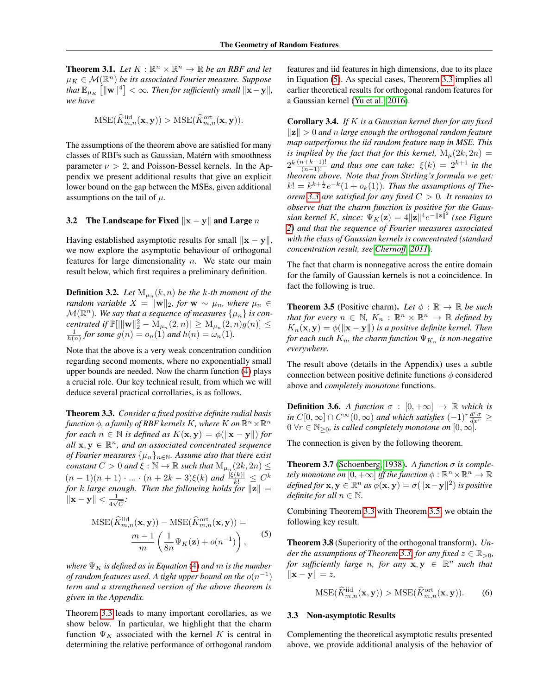<span id="page-3-0"></span>**Theorem 3.1.** Let  $K : \mathbb{R}^n \times \mathbb{R}^n \to \mathbb{R}$  be an RBF and let  $\mu_K \in \mathcal{M}(\mathbb{R}^n)$  be its associated Fourier measure. Suppose  $\int_0^L \tanh \mathbb{E}_{\mu_K} \left[ \|\mathbf{w}\|^4 \right] < \infty$ . Then for sufficiently small  $\|\mathbf{x}-\mathbf{y}\|$ , *we have*

$$
\mathrm{MSE}(\widehat{K}_{m,n}^{\mathrm{iid}}(\mathbf{x}, \mathbf{y})) > \mathrm{MSE}(\widehat{K}_{m,n}^{\mathrm{ort}}(\mathbf{x}, \mathbf{y})).
$$

The assumptions of the theorem above are satisfied for many classes of RBFs such as Gaussian, Matérn with smoothness parameter  $\nu > 2$ , and Poisson-Bessel kernels. In the Appendix we present additional results that give an explicit lower bound on the gap between the MSEs, given additional assumptions on the tail of  $\mu$ .

### 3.2 The Landscape for Fixed  $\Vert x - y \Vert$  and Large n

Having established asymptotic results for small  $\|\mathbf{x} - \mathbf{y}\|$ , we now explore the asymptotic behaviour of orthogonal features for large dimensionality  $n$ . We state our main result below, which first requires a preliminary definition.

**Definition 3.2.** Let  $M_{\mu_n}(k,n)$  be the k-th moment of the *random variable*  $X = ||\mathbf{w}||_2$ , for  $\mathbf{w} \sim \mu_n$ , where  $\mu_n \in$  $\mathcal{M}(\mathbb{R}^n)$ . We say that a sequence of measures  $\{\mu_n\}$  is con*centrated if*  $\mathbb{P}[\|\mathbf{w}\|_2^2 - M_{\mu_n}(2, n)] \ge M_{\mu_n}(2, n)g(n)] \le$  $\frac{1}{h(n)}$  for some  $g(n) = o_n(1)$  and  $h(n) = \omega_n(1)$ .

Note that the above is a very weak concentration condition regarding second moments, where no exponentially small upper bounds are needed. Now the charm function [\(4\)](#page-2-1) plays a crucial role. Our key technical result, from which we will deduce several practical corrollaries, is as follows.

<span id="page-3-2"></span>Theorem 3.3. *Consider a fixed positive definite radial basis* function  $\phi$ , a family of RBF kernels K, where K on  $\mathbb{R}^n\times\mathbb{R}^n$ *for each*  $n \in \mathbb{N}$  *is defined as*  $K(\mathbf{x}, \mathbf{y}) = \phi(\|\mathbf{x} - \mathbf{y}\|)$  *for*  $i$  all  $\mathbf{x}, \mathbf{y} \in \mathbb{R}^n$ , and an associated concentrated sequence *of Fourier measures*  $\{\mu_n\}_{n\in\mathbb{N}}$ . Assume also that there exist *constant*  $C > 0$  *and*  $\xi : \mathbb{N} \to \mathbb{R}$  *such that*  $M_{\mu_n}(2k, 2n) \leq$  $(n-1)(n+1)\cdot...\cdot(n+2k-3)\xi(k)$  and  $\frac{|\xi(k)|}{k!}\leq C^k$ *for* k *large enough. Then the following holds for*  $||\mathbf{z}|| =$  $\|\mathbf{x} - \mathbf{y}\| < \frac{1}{\sqrt{2}}$  $\frac{1}{4\sqrt{C}}$ 

$$
MSE(\widehat{K}_{m,n}^{\text{iid}}(\mathbf{x}, \mathbf{y})) - MSE(\widehat{K}_{m,n}^{\text{ort}}(\mathbf{x}, \mathbf{y})) = \frac{m-1}{m} \left( \frac{1}{8n} \Psi_K(\mathbf{z}) + o(n^{-1}) \right),
$$
 (5)

*where*  $\Psi_K$  *is defined as in Equation* [\(4\)](#page-2-1) *and m is the number* of random features used. A tight upper bound on the  $o(n^{-1})$ *term and a strengthened version of the above theorem is given in the Appendix.*

Theorem [3.3](#page-3-2) leads to many important corollaries, as we show below. In particular, we highlight that the charm function  $\Psi_K$  associated with the kernel K is central in determining the relative performance of orthogonal random features and iid features in high dimensions, due to its place in Equation [\(5\)](#page-3-3). As special cases, Theorem [3.3](#page-3-2) implies all earlier theoretical results for orthogonal random features for a Gaussian kernel [\(Yu et al., 2016\)](#page-8-11).

Corollary 3.4. *If* K *is a Gaussian kernel then for any fixed*  $\Vert z \Vert > 0$  *and n large enough the orthogonal random feature map outperforms the iid random feature map in MSE. This is implied by the fact that for this kernel,*  $M_u(2k, 2n) =$  $2^{k} \frac{(n+k-1)!}{(n-1)!}$  and thus one can take:  $\xi(k) = 2^{k+1}$  in the *theorem above. Note that from Stirling's formula we get:*  $k! = k^{k+\frac{1}{2}}e^{-k}(1+o_k(1))$ . Thus the assumptions of The*orem [3.3](#page-3-2) are satisfied for any fixed* C > 0*. It remains to observe that the charm function is positive for the Gaus*sian kernel K, since:  $\Psi_K(\mathbf{z}) = 4\|\mathbf{z}\|^4 e^{-\|\mathbf{z}\|^2}$  (see Figure *[2\)](#page-2-2) and that the sequence of Fourier measures associated with the class of Gaussian kernels is concentrated (standard concentration result, see [Chernoff, 2011\)](#page-8-18).*

The fact that charm is nonnegative across the entire domain for the family of Gaussian kernels is not a coincidence. In fact the following is true.

<span id="page-3-4"></span>**Theorem 3.5** (Positive charm). Let  $\phi$  :  $\mathbb{R} \to \mathbb{R}$  be such *that for every*  $n \in \mathbb{N}$ ,  $K_n : \mathbb{R}^n \times \mathbb{R}^n \to \mathbb{R}$  *defined by*  $K_n(\mathbf{x}, \mathbf{y}) = \phi(\|\mathbf{x} - \mathbf{y}\|)$  *is a positive definite kernel. Then* for each such  $K_n$ , the charm function  $\Psi_{K_n}$  is non-negative *everywhere.*

The result above (details in the Appendix) uses a subtle connection between positive definite functions  $\phi$  considered above and *completely monotone* functions.

**Definition 3.6.** *A function*  $\sigma : [0, +\infty] \rightarrow \mathbb{R}$  *which is in*  $C[0,\infty] \cap C^{\infty}(0,\infty)$  *and which satisfies*  $(-1)^{r} \frac{d^{r} \sigma}{dx^{r}} \ge$  $0 \forall r \in \mathbb{N}_{\geq 0}$ , is called completely monotone on  $[0, \infty]$ .

The connection is given by the following theorem.

<span id="page-3-5"></span>**Theorem 3.7** [\(Schoenberg, 1938\)](#page-8-19). A function  $\sigma$  is comple*tely monotone on*  $[0, +\infty]$  *iff the function*  $\phi : \mathbb{R}^n \times \mathbb{R}^n \to \mathbb{R}$  $\phi$ *defined for*  $\mathbf{x}, \mathbf{y} \in \mathbb{R}^n$  *as*  $\phi(\mathbf{x}, \mathbf{y}) = \sigma(\|\mathbf{x} - \mathbf{y}\|^2)$  *is positive definite for all*  $n \in \mathbb{N}$ .

Combining Theorem [3.3](#page-3-2) with Theorem [3.5,](#page-3-4) we obtain the following key result.

<span id="page-3-3"></span><span id="page-3-1"></span>Theorem 3.8 (Superiority of the orthogonal transform). *Un-der the assumptions of Theorem [3.3,](#page-3-2) for any fixed*  $z \in \mathbb{R}_{>0}$ *, for sufficiently large n, for any*  $x, y \in \mathbb{R}^n$  *such that*  $\|\mathbf{x} - \mathbf{y}\| = z$ ,

$$
\mathrm{MSE}(\widehat{K}_{m,n}^{\mathrm{iid}}(\mathbf{x}, \mathbf{y})) > \mathrm{MSE}(\widehat{K}_{m,n}^{\mathrm{ort}}(\mathbf{x}, \mathbf{y})).\tag{6}
$$

#### 3.3 Non-asymptotic Results

Complementing the theoretical asymptotic results presented above, we provide additional analysis of the behavior of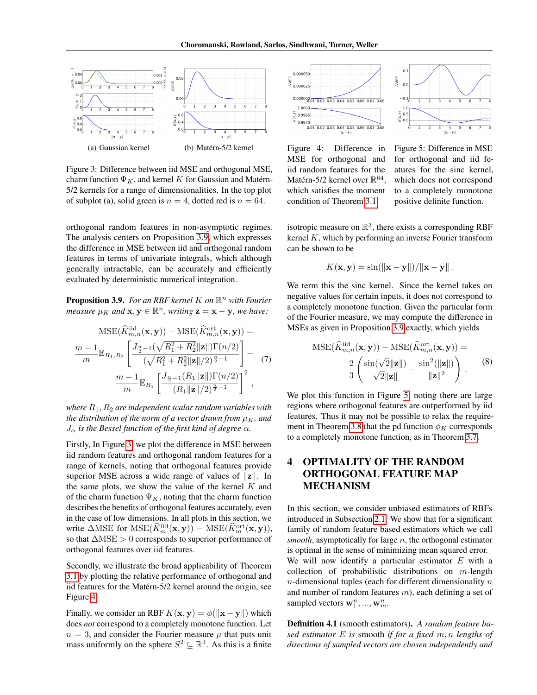<span id="page-4-2"></span>

Figure 3: Difference between iid MSE and orthogonal MSE, charm function  $\Psi_K$ , and kernel K for Gaussian and Matérn-5/2 kernels for a range of dimensionalities. In the top plot of subplot (a), solid green is  $n = 4$ , dotted red is  $n = 64$ .

orthogonal random features in non-asymptotic regimes. The analysis centers on Proposition [3.9,](#page-4-1) which expresses the difference in MSE between iid and orthogonal random features in terms of univariate integrals, which although generally intractable, can be accurately and efficiently evaluated by deterministic numerical integration.

<span id="page-4-1"></span>**Proposition 3.9.** For an RBF kernel K on  $\mathbb{R}^n$  with Fourier *measure*  $\mu_K$  *and*  $\mathbf{x}, \mathbf{y} \in \mathbb{R}^n$ *, writing*  $\mathbf{z} = \mathbf{x} - \mathbf{y}$ *, we have:* 

$$
\begin{split} \text{MSE}(\widehat{K}_{m,n}^{\text{iid}}(\mathbf{x}, \mathbf{y})) - \text{MSE}(\widehat{K}_{m,n}^{\text{ort}}(\mathbf{x}, \mathbf{y})) &= \\ \frac{m-1}{m} \mathbb{E}_{R_1, R_2} \left[ \frac{J_{\frac{n}{2}-1}(\sqrt{R_1^2 + R_2^2} ||\mathbf{z}||) \Gamma(n/2)}{(\sqrt{R_1^2 + R_2^2} ||\mathbf{z}||/2)^{\frac{n}{2}-1}} \right] - \\ \frac{m-1}{m} \mathbb{E}_{R_1} \left[ \frac{J_{\frac{n}{2}-1}(R_1 ||\mathbf{z}||) \Gamma(n/2)}{(R_1 ||\mathbf{z}||/2)^{\frac{n}{2}-1}} \right]^2 \,, \end{split}
$$

*where*  $R_1$ ,  $R_2$  *are independent scalar random variables with the distribution of the norm of a vector drawn from*  $\mu_K$ *, and*  $J_{\alpha}$  *is the Bessel function of the first kind of degree*  $\alpha$ *.* 

Firstly, In Figure [3,](#page-4-2) we plot the difference in MSE between iid random features and orthogonal random features for a range of kernels, noting that orthogonal features provide superior MSE across a wide range of values of  $||z||$ . In the same plots, we show the value of the kernel  $K$  and of the charm function  $\Psi_K$ , noting that the charm function describes the benefits of orthogonal features accurately, even in the case of low dimensions. In all plots in this section, we write  $\triangle$ MSE for MSE $(\hat{K}_m^{\text{iid}}(x, y)) - \text{MSE}(\hat{K}_m^{\text{ort}}(x, y)),$ so that  $\Delta \text{MSE} > 0$  corresponds to superior performance of orthogonal features over iid features.

Secondly, we illustrate the broad applicability of Theorem [3.1](#page-3-0) by plotting the relative performance of orthogonal and iid features for the Matérn-5/2 kernel around the origin, see Figure [4.](#page-4-3)

Finally, we consider an RBF  $K(\mathbf{x}, \mathbf{y}) = \phi(||\mathbf{x} - \mathbf{y}||)$  which does *not* correspond to a completely monotone function. Let  $n = 3$ , and consider the Fourier measure  $\mu$  that puts unit mass uniformly on the sphere  $S^2 \subseteq \mathbb{R}^3$ . As this is a finite

<span id="page-4-3"></span>

Figure 4: Difference in MSE for orthogonal and iid random features for the Matérn-5/2 kernel over  $\mathbb{R}^{64}$ , which satisfies the moment condition of Theorem [3.1.](#page-3-0)



for orthogonal and iid features for the sinc kernel, which does not correspond to a completely monotone positive definite function.

isotropic measure on  $\mathbb{R}^3$ , there exists a corresponding RBF kernel K, which by performing an inverse Fourier transform can be shown to be

$$
K(\mathbf{x}, \mathbf{y}) = \sin(\|\mathbf{x} - \mathbf{y}\|)/\|\mathbf{x} - \mathbf{y}\|.
$$

We term this the sinc kernel. Since the kernel takes on negative values for certain inputs, it does not correspond to a completely monotone function. Given the particular form of the Fourier measure, we may compute the difference in MSEs as given in Proposition [3.9](#page-4-1) exactly, which yields

$$
MSE(\widehat{K}_{m,n}^{\text{iid}}(\mathbf{x}, \mathbf{y})) - MSE(\widehat{K}_{m,n}^{\text{ort}}(\mathbf{x}, \mathbf{y})) =
$$

$$
\frac{2}{3} \left( \frac{\sin(\sqrt{2} \|\mathbf{z}\|)}{\sqrt{2} \|\mathbf{z}\|} - \frac{\sin^2(\|\mathbf{z}\|)}{\|\mathbf{z}\|^2} \right). \tag{8}
$$

We plot this function in Figure [5,](#page-4-3) noting there are large regions where orthogonal features are outperformed by iid features. Thus it may not be possible to relax the require-ment in Theorem [3.8](#page-3-1) that the pd function  $\phi_K$  corresponds to a completely monotone function, as in Theorem [3.7.](#page-3-5)

# <span id="page-4-0"></span>4 OPTIMALITY OF THE RANDOM ORTHOGONAL FEATURE MAP MECHANISM

In this section, we consider unbiased estimators of RBFs introduced in Subsection [2.1.](#page-1-2) We show that for a significant family of random feature based estimators which we call *smooth*, asymptotically for large n, the orthogonal estimator is optimal in the sense of minimizing mean squared error. We will now identify a particular estimator  $E$  with a collection of probabilistic distributions on  $m$ -length  $n$ -dimensional tuples (each for different dimensionality  $n$ ) and number of random features  $m$ ), each defining a set of sampled vectors  $\mathbf{w}_1^n, ..., \mathbf{w}_m^n$ .

<span id="page-4-4"></span>Definition 4.1 (smooth estimators). *A random feature based estimator* E *is* smooth *if for a fixed* m, n *lengths of directions of sampled vectors are chosen independently and*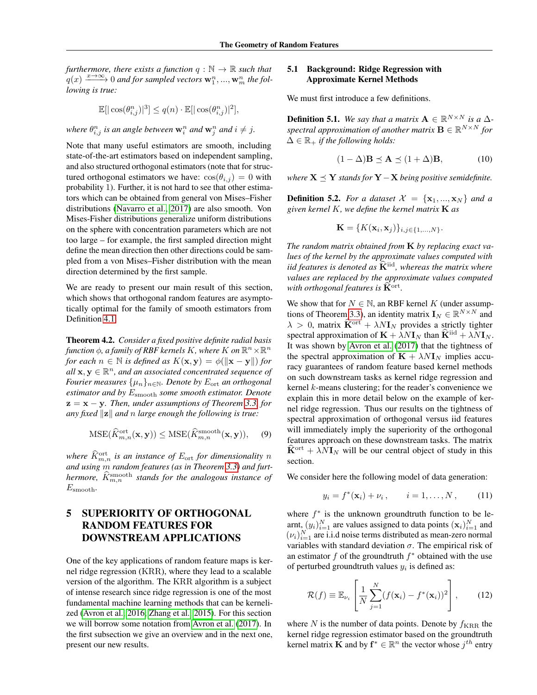*furthermore, there exists a function*  $q : \mathbb{N} \to \mathbb{R}$  *such that*  $\chi_q'(x) \xrightarrow{x \to \infty} 0$  and for sampled vectors  $\mathbf{w}_1^n$ , ...,  $\mathbf{w}_m^n$  the fol*lowing is true:*

$$
\mathbb{E}[\lvert \cos(\theta_{i,j}^n) \rvert^3] \le q(n) \cdot \mathbb{E}[\lvert \cos(\theta_{i,j}^n) \rvert^2],
$$

where  $\theta_{i,j}^n$  is an angle between  $\mathbf{w}_i^n$  and  $\mathbf{w}_j^n$  and  $i \neq j$ .

Note that many useful estimators are smooth, including state-of-the-art estimators based on independent sampling, and also structured orthogonal estimators (note that for structured orthogonal estimators we have:  $\cos(\theta_{i,j}) = 0$  with probability 1). Further, it is not hard to see that other estimators which can be obtained from general von Mises–Fisher distributions [\(Navarro et al., 2017\)](#page-8-20) are also smooth. Von Mises-Fisher distributions generalize uniform distributions on the sphere with concentration parameters which are not too large – for example, the first sampled direction might define the mean direction then other directions could be sampled from a von Mises–Fisher distribution with the mean direction determined by the first sample.

We are ready to present our main result of this section, which shows that orthogonal random features are asymptotically optimal for the family of smooth estimators from Definition [4.1.](#page-4-4)

Theorem 4.2. *Consider a fixed positive definite radial basis* function  $\phi$ , a family of RBF kernels K, where K on  $\mathbb{R}^n\times\mathbb{R}^n$ *for each*  $n \in \mathbb{N}$  *is defined as*  $K(\mathbf{x}, \mathbf{y}) = \phi(||\mathbf{x} - \mathbf{y}||)$  *for*  $all \mathbf{x}, \mathbf{y} \in \mathbb{R}^n$ , and an associated concentrated sequence of *Fourier measures*  $\{\mu_n\}_{n\in\mathbb{N}}$ *. Denote by*  $E_{\text{ort}}$  *an orthogonal estimator and by* Esmooth *some smooth estimator. Denote* z = x − y*. Then, under assumptions of Theorem [3.3,](#page-3-2) for any fixed*  $\|\mathbf{z}\|$  *and n large enough the following is true:* 

$$
\mathrm{MSE}(\widehat{K}_{m,n}^{\mathrm{ort}}(\mathbf{x}, \mathbf{y})) \le \mathrm{MSE}(\widehat{K}_{m,n}^{\mathrm{smooth}}(\mathbf{x}, \mathbf{y})), \quad (9)
$$

*where*  $\hat{K}_{m,n}^{\text{ort}}$  *is an instance of*  $E_{\text{ort}}$  *for dimensionality n and using* m *random features (as in Theorem [3.3\)](#page-3-2) and furthermore,*  $\widehat{K}_{m,n}^{\rm smooth}$  stands for the analogous instance of Esmooth*.*

# <span id="page-5-0"></span>5 SUPERIORITY OF ORTHOGONAL RANDOM FEATURES FOR DOWNSTREAM APPLICATIONS

One of the key applications of random feature maps is kernel ridge regression (KRR), where they lead to a scalable version of the algorithm. The KRR algorithm is a subject of intense research since ridge regression is one of the most fundamental machine learning methods that can be kernelized [\(Avron et al., 2016;](#page-8-21) [Zhang et al., 2015\)](#page-8-22). For this section we will borrow some notation from [Avron et al.](#page-8-14) [\(2017\)](#page-8-14). In the first subsection we give an overview and in the next one, present our new results.

#### 5.1 Background: Ridge Regression with Approximate Kernel Methods

We must first introduce a few definitions.

**Definition 5.1.** We say that a matrix  $A \in \mathbb{R}^{N \times N}$  is a  $\Delta$  $spectral approximation of another matrix  $B \in \mathbb{R}^{N \times N}$  for$  $\Delta \in \mathbb{R}_+$  *if the following holds:* 

$$
(1 - \Delta)\mathbf{B} \preceq \mathbf{A} \preceq (1 + \Delta)\mathbf{B}, \tag{10}
$$

*where*  $X \leq Y$  *stands for*  $Y - X$  *being positive semidefinite.* 

**Definition 5.2.** *For a dataset*  $\mathcal{X} = {\mathbf{x}_1, ..., \mathbf{x}_N}$  *and a given kernel* K*, we define the kernel matrix* K *as*

$$
\mathbf{K} = \{K(\mathbf{x}_i, \mathbf{x}_j)\}_{i,j \in \{1,\ldots,N\}}.
$$

*The random matrix obtained from* K *by replacing exact values of the kernel by the approximate values computed with iid features is denoted as*  $\widehat{K}$ <sup>iid</sup>, whereas the matrix where *values are replaced by the approximate values computed* with orthogonal features is  $\widehat{\mathbf{K}}^{\text{ort}}$ .

We show that for  $N \in \mathbb{N}$ , an RBF kernel K (under assump-tions of Theorem [3.3\)](#page-3-2), an identity matrix  $\mathbf{I}_N \in \mathbb{R}^{N \times N}$  and  $\lambda > 0$ , matrix  $\widehat{\mathbf{K}}^{\text{ort}} + \lambda N \mathbf{I}_N$  provides a strictly tighter spectral approximation of  $\mathbf{K} + \lambda N \mathbf{I}_N$  than  $\widehat{\mathbf{K}}^{\text{iid}} + \lambda N \mathbf{I}_N$ . It was shown by [Avron et al.](#page-8-14) [\(2017\)](#page-8-14) that the tightness of the spectral approximation of  $\mathbf{K} + \lambda N \mathbf{I}_N$  implies accuracy guarantees of random feature based kernel methods on such downstream tasks as kernel ridge regression and kernel k-means clustering; for the reader's convenience we explain this in more detail below on the example of kernel ridge regression. Thus our results on the tightness of spectral approximation of orthogonal versus iid features will immediately imply the superiority of the orthogonal features approach on these downstream tasks. The matrix  $\hat{K}^{\text{ort}} + \lambda N I_N$  will be our central object of study in this section.

We consider here the following model of data generation:

$$
y_i = f^*(\mathbf{x}_i) + \nu_i, \qquad i = 1, ..., N, \qquad (11)
$$

where  $f^*$  is the unknown groundtruth function to be learnt,  $(y_i)_{i=1}^N$  are values assigned to data points  $(\mathbf{x}_i)_{i=1}^N$  and  $(v_i)_{i=1}^N$  are i.i.d noise terms distributed as mean-zero normal variables with standard deviation  $\sigma$ . The empirical risk of an estimator  $f$  of the groundtruth  $f^*$  obtained with the use of perturbed groundtruth values  $y_i$  is defined as:

$$
\mathcal{R}(f) \equiv \mathbb{E}_{\nu_i} \left[ \frac{1}{N} \sum_{j=1}^N (f(\mathbf{x}_i) - f^*(\mathbf{x}_i))^2 \right],\tag{12}
$$

where N is the number of data points. Denote by  $f_{\text{KRR}}$  the kernel ridge regression estimator based on the groundtruth kernel matrix **K** and by  $f^* \in \mathbb{R}^n$  the vector whose  $j^{th}$  entry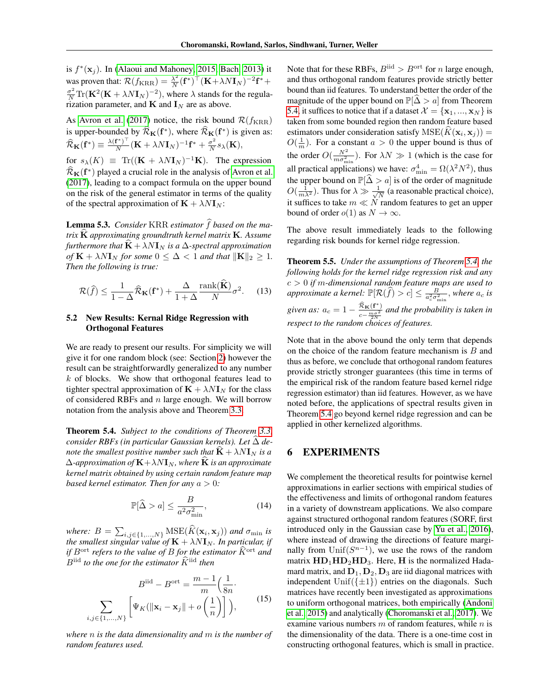is  $f^*(\mathbf{x}_j)$ . In [\(Alaoui and Mahoney, 2015;](#page-8-23) [Bach, 2013\)](#page-8-24) it was proven that:  $\mathcal{R}(f_{\text{KRR}}) = \frac{\lambda^2}{N}$  $\frac{\lambda^2}{N}(\mathbf{f}^*)^\top(\mathbf{K}+\lambda N\mathbf{I}_N)^{-2}\mathbf{f}^* +$  $\frac{\sigma^2}{N} \text{Tr}(\mathbf{K}^2(\mathbf{K} + \lambda N \mathbf{I}_N)^{-2})$ , where  $\lambda$  stands for the regularization parameter, and  $\mathbf K$  and  $\mathbf I_N$  are as above.

As [Avron et al.](#page-8-14) [\(2017\)](#page-8-14) notice, the risk bound  $\mathcal{R}(f_{\text{KRR}})$ is upper-bounded by  $\widehat{R}_{\mathbf{K}}(\mathbf{f}^*)$ , where  $\widehat{R}_{\mathbf{K}}(\mathbf{f}^*)$  is given as:  $\widehat{\mathcal{R}}_{\mathbf{K}}(\mathbf{f}^*) \equiv \frac{\lambda(\mathbf{f}^*)^\top}{N}$  $\frac{(\mathbf{f}^*)^\top}{N} (\mathbf{K} + \lambda N \mathbf{I}_N)^{-1} \mathbf{f}^* + \frac{\sigma^2}{N}$  $\frac{\sigma^2}{N} s_\lambda(\mathbf{K}),$ for  $s_{\lambda}(K) \equiv \text{Tr}((\mathbf{K} + \lambda N \mathbf{I}_N)^{-1} \mathbf{K})$ . The expression  $\widehat{R}_{\mathbf{K}}(\mathbf{f}^*)$  played a crucial role in the analysis of [Avron et al.](#page-8-14) [\(2017\)](#page-8-14), leading to a compact formula on the upper bound on the risk of the general estimator in terms of the quality of the spectral approximation of  $\mathbf{K} + \lambda N \mathbf{I}_N$ :

Lemma 5.3. *Consider* KRR *estimator*  $\widehat{f}$  based on the ma*trix* <sup>K</sup><sup>b</sup> *approximating groundtruth kernel matrix* <sup>K</sup>*. Assume furthermore that*  $\dot{\mathbf{K}} + \lambda N \mathbf{I}_N$  *is a*  $\Delta$ *-spectral approximation of*  $\mathbf{K} + \lambda N \mathbf{I}_N$  *for some*  $0 \leq \Delta < 1$  *and that*  $\|\mathbf{K}\|_2 \geq 1$ *. Then the following is true:*

$$
\mathcal{R}(\hat{f}) \le \frac{1}{1-\Delta} \hat{\mathcal{R}}_{\mathbf{K}}(\mathbf{f}^*) + \frac{\Delta}{1+\Delta} \frac{\text{rank}(\hat{\mathbf{K}})}{N} \sigma^2.
$$
 (13)

### 5.2 New Results: Kernal Ridge Regression with Orthogonal Features

We are ready to present our results. For simplicity we will give it for one random block (see: Section [2\)](#page-1-3) however the result can be straightforwardly generalized to any number k of blocks. We show that orthogonal features lead to tighter spectral approximation of  $\mathbf{K} + \lambda N \mathbf{I}_N$  for the class of considered RBFs and  $n$  large enough. We will borrow notation from the analysis above and Theorem [3.3.](#page-3-2)

<span id="page-6-1"></span>Theorem 5.4. *Subject to the conditions of Theorem [3.3,](#page-3-2) consider RBFs (in particular Gaussian kernels). Let* <sup>∆</sup><sup>b</sup> *denote the smallest positive number such that*  $\mathbf{K} + \lambda N \mathbf{I}_N$  *is a*  $\Delta$ -approximation of  $\mathbf{K} + \lambda N \mathbf{I}_N$ , where  $\widehat{\mathbf{K}}$  *is an approximate kernel matrix obtained by using certain random feature map based kernel estimator. Then for any*  $a > 0$ *:* 

$$
\mathbb{P}[\hat{\Delta} > a] \le \frac{B}{a^2 \sigma_{\min}^2},\tag{14}
$$

*where:*  $B = \sum_{i,j \in \{1,\ldots,N\}} \text{MSE}(K(\mathbf{x}_i, \mathbf{x}_j))$  and  $\sigma_{\min}$  *is*  $t$ he smallest singular value of  $\mathbf{K}+\lambda N\mathbf{I}_N.$  In particular, if *if*  $B^{\text{ort}}$  *refers to the value of*  $B$  *for the estimator*  $\widehat{K}^{\text{ort}}$  *and*  $B<sup>iid</sup>$  *to the one for the estimator*  $\widehat{K}$ <sup>iid</sup> *then* 

$$
B^{\text{iid}} - B^{\text{ort}} = \frac{m-1}{m} \left(\frac{1}{8n} \cdot \sum_{i,j \in \{1,\dots,N\}} \left[ \Psi_K(\|\mathbf{x}_i - \mathbf{x}_j\| + o\left(\frac{1}{n}\right) \right] \right),\tag{15}
$$

*where* n *is the data dimensionality and* m *is the number of random features used.*

Note that for these RBFs,  $B^{iid} > B^{ort}$  for *n* large enough, and thus orthogonal random features provide strictly better bound than iid features. To understand better the order of the magnitude of the upper bound on  $\mathbb{P}[\widehat{\Delta} > a]$  from Theorem [5.4,](#page-6-1) it suffices to notice that if a dataset  $\mathcal{X} = {\mathbf{x}_1, ..., \mathbf{x}_N}$  is taken from some bounded region then random feature based estimators under consideration satisfy  $MSE(K(\mathbf{x}_i, \mathbf{x}_j)) =$  $O(\frac{1}{m})$ . For a constant  $a > 0$  the upper bound is thus of the order  $O(\frac{N^2}{m\sigma_{\min}^2})$ . For  $\lambda N \gg 1$  (which is the case for all practical applications) we have:  $\sigma_{\min}^4 = \Omega(\lambda^2 N^2)$ , thus the upper bound on  $\mathbb{P}[\hat{\Delta} > a]$  is of the order of magnitude  $O(\frac{1}{m\lambda^2})$ . Thus for  $\lambda \gg \frac{1}{\sqrt{N}}$  (a reasonable practical choice).  $\frac{1}{N}$  (a reasonable practical choice), it suffices to take  $m \ll N$  random features to get an upper bound of order  $o(1)$  as  $N \to \infty$ .

The above result immediately leads to the following regarding risk bounds for kernel ridge regression.

Theorem 5.5. *Under the assumptions of Theorem [5.4,](#page-6-1) the following holds for the kernel ridge regression risk and any* c > 0 *if* m*-dimensional random feature maps are used to approximate a kernel:*  $\mathbb{P}[\mathcal{R}(\widehat{f}) > c] \leq \frac{B}{a_c^2 \sigma_{\min}^2}$ , where  $a_c$  *is* given as:  $a_c = 1 - \frac{\widehat{\mathcal{R}}_\mathbf{K}(\mathbf{f}^*)}{c - \frac{m\sigma^2}{2N}}$  and the probability is taken in *respect to the random choices of features.*

Note that in the above bound the only term that depends on the choice of the random feature mechanism is  $B$  and thus as before, we conclude that orthogonal random features provide strictly stronger guarantees (this time in terms of the empirical risk of the random feature based kernel ridge regression estimator) than iid features. However, as we have noted before, the applications of spectral results given in Theorem [5.4](#page-6-1) go beyond kernel ridge regression and can be applied in other kernelized algorithms.

# <span id="page-6-0"></span>6 EXPERIMENTS

We complement the theoretical results for pointwise kernel approximations in earlier sections with empirical studies of the effectiveness and limits of orthogonal random features in a variety of downstream applications. We also compare against structured orthogonal random features (SORF, first introduced only in the Gaussian case by [Yu et al., 2016\)](#page-8-11), where instead of drawing the directions of feature marginally from Unif $(S^{n-1})$ , we use the rows of the random matrix  $\text{HD}_1\text{HD}_2\text{HD}_3$ . Here, H is the normalized Hadamard matrix, and  $D_1, D_2, D_3$  are iid diagonal matrices with independent Unif( $\{\pm 1\}$ ) entries on the diagonals. Such matrices have recently been investigated as approximations to uniform orthogonal matrices, both empirically [\(Andoni](#page-8-13) [et al., 2015\)](#page-8-13) and analytically [\(Choromanski et al., 2017\)](#page-8-12). We examine various numbers  $m$  of random features, while  $n$  is the dimensionality of the data. There is a one-time cost in constructing orthogonal features, which is small in practice.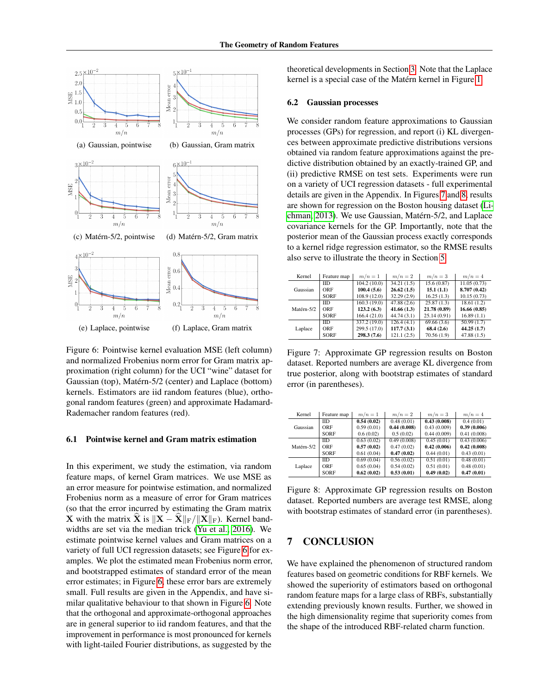<span id="page-7-0"></span>

Figure 6: Pointwise kernel evaluation MSE (left column) and normalized Frobenius norm error for Gram matrix approximation (right column) for the UCI "wine" dataset for Gaussian (top), Matérn-5/2 (center) and Laplace (bottom) kernels. Estimators are iid random features (blue), orthogonal random features (green) and approximate Hadamard-Rademacher random features (red).

### 6.1 Pointwise kernel and Gram matrix estimation

In this experiment, we study the estimation, via random feature maps, of kernel Gram matrices. We use MSE as an error measure for pointwise estimation, and normalized Frobenius norm as a measure of error for Gram matrices (so that the error incurred by estimating the Gram matrix **X** with the matrix **X** is  $\|\mathbf{X} - \mathbf{X}\|_{\text{F}} / \| \mathbf{X} \|_{\text{F}}$ ). Kernel bandwidths are set via the median trick [\(Yu et al., 2016\)](#page-8-11). We estimate pointwise kernel values and Gram matrices on a variety of full UCI regression datasets; see Figure [6](#page-7-0) for examples. We plot the estimated mean Frobenius norm error, and bootstrapped estimates of standard error of the mean error estimates; in Figure [6,](#page-7-0) these error bars are extremely small. Full results are given in the Appendix, and have similar qualitative behaviour to that shown in Figure [6.](#page-7-0) Note that the orthogonal and approximate-orthogonal approaches are in general superior to iid random features, and that the improvement in performance is most pronounced for kernels with light-tailed Fourier distributions, as suggested by the

theoretical developments in Section [3.](#page-2-0) Note that the Laplace kernel is a special case of the Matérn kernel in Figure [1.](#page-1-0)

#### 6.2 Gaussian processes

We consider random feature approximations to Gaussian processes (GPs) for regression, and report (i) KL divergences between approximate predictive distributions versions obtained via random feature approximations against the predictive distribution obtained by an exactly-trained GP, and (ii) predictive RMSE on test sets. Experiments were run on a variety of UCI regression datasets - full experimental details are given in the Appendix. In Figures [7](#page-7-1) and [8,](#page-7-2) results are shown for regression on the Boston housing dataset [\(Li](#page-8-25)[chman, 2013\)](#page-8-25). We use Gaussian, Matérn-5/2, and Laplace covariance kernels for the GP. Importantly, note that the posterior mean of the Gaussian process exactly corresponds to a kernel ridge regression estimator, so the RMSE results also serve to illustrate the theory in Section [5.](#page-5-0)

<span id="page-7-1"></span>

| Kernel     | Feature map | $m/n=1$      | $m/n=2$    | $m/n=3$      | $m/n=4$      |
|------------|-------------|--------------|------------|--------------|--------------|
| Gaussian   | <b>IID</b>  | 104.2(10.0)  | 34.21(1.5) | 15.6(0.87)   | 11.05(0.73)  |
|            | ORF         | 100.4(5.6)   | 26.62(1.5) | 15.1(1.1)    | 8.707 (0.42) |
|            | SORF        | 108.9 (12.0) | 32.29(2.9) | 16.25(1.3)   | 10.15(0.73)  |
| Matérn-5/2 | <b>IID</b>  | 160.3(19.0)  | 47.88(2.6) | 25.87(1.3)   | 18.61(1.2)   |
|            | ORF         | 123.2(6.3)   | 41.66(1.3) | 21.78 (0.89) | 16.66(0.85)  |
|            | SORF        | 166.4(21.0)  | 44.74(3.1) | 25.14(0.91)  | 16.89(1.1)   |
| Laplace    | <b>IID</b>  | 337.2 (19.0) | 126.4(4.1) | 69.66(3.6)   | 50.99(1.7)   |
|            | ORF         | 299.5 (17.0) | 117.7(3.1) | 68.4(2.6)    | 44.25(1.7)   |
|            | SORF        | 298.3(7.6)   | 121.1(2.5) | 70.56(1.9)   | 47.88(1.5)   |

Figure 7: Approximate GP regression results on Boston dataset. Reported numbers are average KL divergence from true posterior, along with bootstrap estimates of standard error (in parentheses).

<span id="page-7-2"></span>

| Kernel     | Feature map | $m/n=1$    | $m/n=2$     | $m/n=3$     | $m/n=4$     |
|------------|-------------|------------|-------------|-------------|-------------|
| Gaussian   | <b>IID</b>  | 0.54(0.02) | 0.48(0.01)  | 0.43(0.008) | 0.4(0.01)   |
|            | ORF         | 0.59(0.01) | 0.44(0.008) | 0.43(0.009) | 0.39(0.006) |
|            | SORF        | 0.6(0.02)  | 0.5(0.02)   | 0.44(0.009) | 0.41(0.008) |
| Matérn-5/2 | <b>IID</b>  | 0.63(0.02) | 0.49(0.008) | 0.45(0.01)  | 0.43(0.006) |
|            | ORF         | 0.57(0.02) | 0.47(0.02)  | 0.42(0.006) | 0.42(0.008) |
|            | SORF        | 0.61(0.04) | 0.47(0.02)  | 0.44(0.01)  | 0.43(0.01)  |
| Laplace    | <b>IID</b>  | 0.69(0.04) | 0.56(0.02)  | 0.51(0.01)  | 0.48(0.01)  |
|            | ORF         | 0.65(0.04) | 0.54(0.02)  | 0.51(0.01)  | 0.48(0.01)  |
|            | SORF        | 0.62(0.02) | 0.53(0.01)  | 0.49(0.02)  | 0.47(0.01)  |

Figure 8: Approximate GP regression results on Boston dataset. Reported numbers are average test RMSE, along with bootstrap estimates of standard error (in parentheses).

# 7 CONCLUSION

We have explained the phenomenon of structured random features based on geometric conditions for RBF kernels. We showed the superiority of estimators based on orthogonal random feature maps for a large class of RBFs, substantially extending previously known results. Further, we showed in the high dimensionality regime that superiority comes from the shape of the introduced RBF-related charm function.